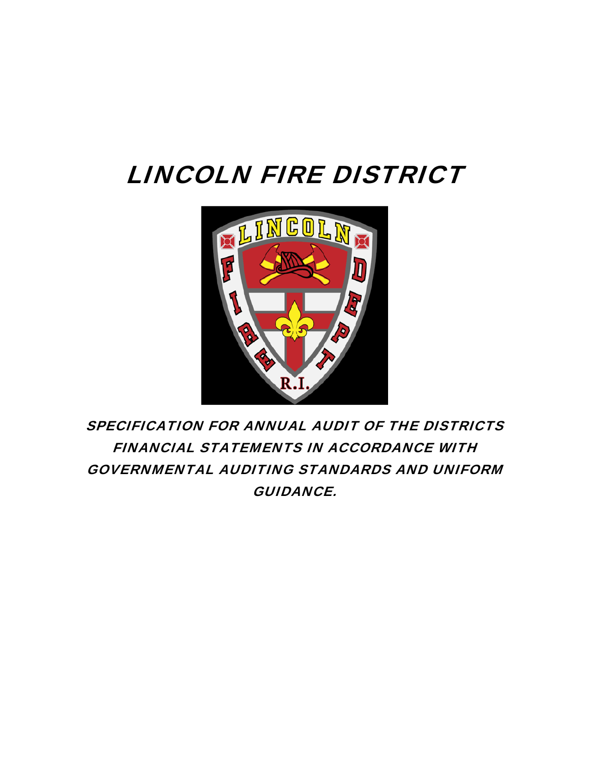# LINCOLN FIRE DISTRICT



SPECIFICATION FOR ANNUAL AUDIT OF THE DISTRICTS FINANCIAL STATEMENTS IN ACCORDANCE WITH GOVERNMENTAL AUDITING STANDARDS AND UNIFORM GUIDANCE.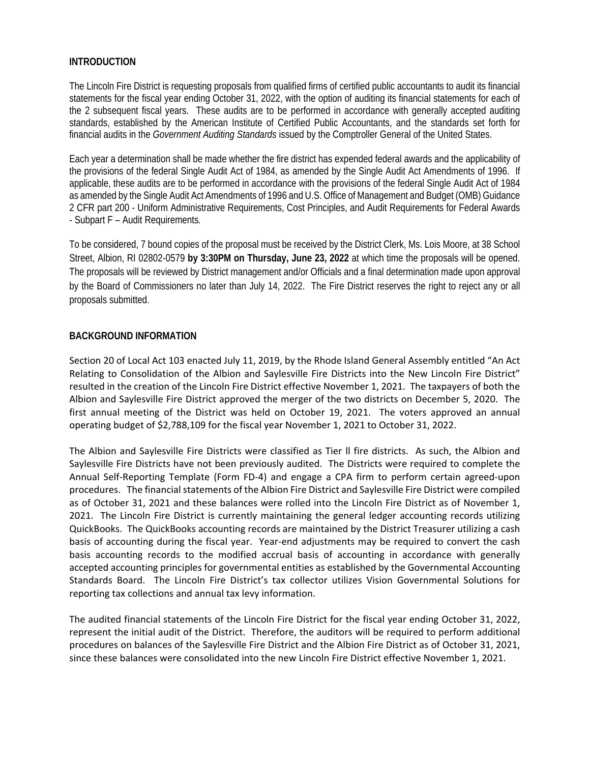## **INTRODUCTION**

The Lincoln Fire District is requesting proposals from qualified firms of certified public accountants to audit its financial statements for the fiscal year ending October 31, 2022, with the option of auditing its financial statements for each of the 2 subsequent fiscal years. These audits are to be performed in accordance with generally accepted auditing standards, established by the American Institute of Certified Public Accountants, and the standards set forth for financial audits in the *Government Auditing Standards* issued by the Comptroller General of the United States.

Each year a determination shall be made whether the fire district has expended federal awards and the applicability of the provisions of the federal Single Audit Act of 1984, as amended by the Single Audit Act Amendments of 1996. If applicable, these audits are to be performed in accordance with the provisions of the federal Single Audit Act of 1984 as amended by the Single Audit Act Amendments of 1996 and U.S. Office of Management and Budget (OMB) Guidance 2 CFR part 200 - Uniform Administrative Requirements, Cost Principles, and Audit Requirements for Federal Awards - Subpart F – Audit Requirements*.*

To be considered, 7 bound copies of the proposal must be received by the District Clerk, Ms. Lois Moore, at 38 School Street, Albion, RI 02802-0579 **by 3:30PM on Thursday, June 23, 2022** at which time the proposals will be opened. The proposals will be reviewed by District management and/or Officials and a final determination made upon approval by the Board of Commissioners no later than July 14, 2022. The Fire District reserves the right to reject any or all proposals submitted.

# **BACKGROUND INFORMATION**

Section 20 of Local Act 103 enacted July 11, 2019, by the Rhode Island General Assembly entitled "An Act Relating to Consolidation of the Albion and Saylesville Fire Districts into the New Lincoln Fire District" resulted in the creation of the Lincoln Fire District effective November 1, 2021. The taxpayers of both the Albion and Saylesville Fire District approved the merger of the two districts on December 5, 2020. The first annual meeting of the District was held on October 19, 2021. The voters approved an annual operating budget of \$2,788,109 for the fiscal year November 1, 2021 to October 31, 2022.

The Albion and Saylesville Fire Districts were classified as Tier ll fire districts. As such, the Albion and Saylesville Fire Districts have not been previously audited. The Districts were required to complete the Annual Self‐Reporting Template (Form FD‐4) and engage a CPA firm to perform certain agreed‐upon procedures. The financial statements of the Albion Fire District and Saylesville Fire District were compiled as of October 31, 2021 and these balances were rolled into the Lincoln Fire District as of November 1, 2021. The Lincoln Fire District is currently maintaining the general ledger accounting records utilizing QuickBooks. The QuickBooks accounting records are maintained by the District Treasurer utilizing a cash basis of accounting during the fiscal year. Year-end adjustments may be required to convert the cash basis accounting records to the modified accrual basis of accounting in accordance with generally accepted accounting principles for governmental entities as established by the Governmental Accounting Standards Board. The Lincoln Fire District's tax collector utilizes Vision Governmental Solutions for reporting tax collections and annual tax levy information.

The audited financial statements of the Lincoln Fire District for the fiscal year ending October 31, 2022, represent the initial audit of the District. Therefore, the auditors will be required to perform additional procedures on balances of the Saylesville Fire District and the Albion Fire District as of October 31, 2021, since these balances were consolidated into the new Lincoln Fire District effective November 1, 2021.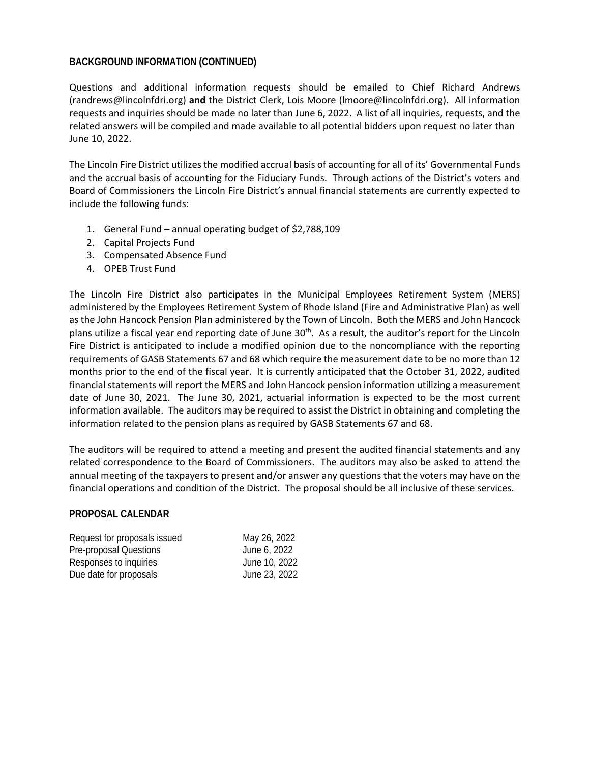### **BACKGROUND INFORMATION (CONTINUED)**

Questions and additional information requests should be emailed to Chief Richard Andrews (randrews@lincolnfdri.org) **and** the District Clerk, Lois Moore (lmoore@lincolnfdri.org). All information requests and inquiries should be made no later than June 6, 2022. A list of all inquiries, requests, and the related answers will be compiled and made available to all potential bidders upon request no later than June 10, 2022.

The Lincoln Fire District utilizes the modified accrual basis of accounting for all of its' Governmental Funds and the accrual basis of accounting for the Fiduciary Funds. Through actions of the District's voters and Board of Commissioners the Lincoln Fire District's annual financial statements are currently expected to include the following funds:

- 1. General Fund annual operating budget of \$2,788,109
- 2. Capital Projects Fund
- 3. Compensated Absence Fund
- 4. OPEB Trust Fund

The Lincoln Fire District also participates in the Municipal Employees Retirement System (MERS) administered by the Employees Retirement System of Rhode Island (Fire and Administrative Plan) as well as the John Hancock Pension Plan administered by the Town of Lincoln. Both the MERS and John Hancock plans utilize a fiscal year end reporting date of June 30<sup>th</sup>. As a result, the auditor's report for the Lincoln Fire District is anticipated to include a modified opinion due to the noncompliance with the reporting requirements of GASB Statements 67 and 68 which require the measurement date to be no more than 12 months prior to the end of the fiscal year. It is currently anticipated that the October 31, 2022, audited financial statements will report the MERS and John Hancock pension information utilizing a measurement date of June 30, 2021. The June 30, 2021, actuarial information is expected to be the most current information available. The auditors may be required to assist the District in obtaining and completing the information related to the pension plans as required by GASB Statements 67 and 68.

The auditors will be required to attend a meeting and present the audited financial statements and any related correspondence to the Board of Commissioners. The auditors may also be asked to attend the annual meeting of the taxpayers to present and/or answer any questions that the voters may have on the financial operations and condition of the District. The proposal should be all inclusive of these services.

### **PROPOSAL CALENDAR**

| Request for proposals issued | May 26, 2022  |
|------------------------------|---------------|
| Pre-proposal Questions       | June 6, 2022  |
| Responses to inquiries       | June 10, 2022 |
| Due date for proposals       | June 23, 2022 |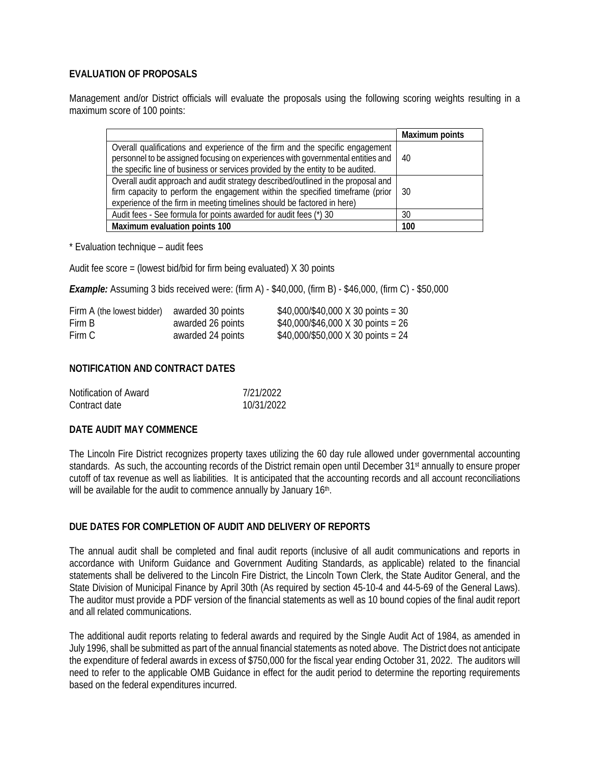# **EVALUATION OF PROPOSALS**

Management and/or District officials will evaluate the proposals using the following scoring weights resulting in a maximum score of 100 points:

|                                                                                                                                                                                                                                                     | <b>Maximum points</b> |
|-----------------------------------------------------------------------------------------------------------------------------------------------------------------------------------------------------------------------------------------------------|-----------------------|
| Overall qualifications and experience of the firm and the specific engagement<br>personnel to be assigned focusing on experiences with governmental entities and<br>the specific line of business or services provided by the entity to be audited. | 40                    |
| Overall audit approach and audit strategy described/outlined in the proposal and<br>firm capacity to perform the engagement within the specified timeframe (prior<br>experience of the firm in meeting timelines should be factored in here)        | 30                    |
| Audit fees - See formula for points awarded for audit fees (*) 30                                                                                                                                                                                   | 30                    |
| Maximum evaluation points 100                                                                                                                                                                                                                       | 100                   |

\* Evaluation technique – audit fees

Audit fee score = (lowest bid/bid for firm being evaluated) X 30 points

*Example:* Assuming 3 bids received were: (firm A) - \$40,000, (firm B) - \$46,000, (firm C) - \$50,000

| Firm A (the lowest bidder) | awarded 30 points | $$40,000$ /\$40,000 X 30 points = 30 |
|----------------------------|-------------------|--------------------------------------|
| Firm B                     | awarded 26 points | $$40,000$ /\$46,000 X 30 points = 26 |
| Firm C                     | awarded 24 points | \$40,000/\$50,000 X 30 points = 24   |

# **NOTIFICATION AND CONTRACT DATES**

| Notification of Award | 7/21/2022  |
|-----------------------|------------|
| Contract date         | 10/31/2022 |

### **DATE AUDIT MAY COMMENCE**

The Lincoln Fire District recognizes property taxes utilizing the 60 day rule allowed under governmental accounting standards. As such, the accounting records of the District remain open until December 31<sup>st</sup> annually to ensure proper cutoff of tax revenue as well as liabilities. It is anticipated that the accounting records and all account reconciliations will be available for the audit to commence annually by January 16th.

## **DUE DATES FOR COMPLETION OF AUDIT AND DELIVERY OF REPORTS**

The annual audit shall be completed and final audit reports (inclusive of all audit communications and reports in accordance with Uniform Guidance and Government Auditing Standards, as applicable) related to the financial statements shall be delivered to the Lincoln Fire District, the Lincoln Town Clerk, the State Auditor General, and the State Division of Municipal Finance by April 30th (As required by section 45-10-4 and 44-5-69 of the General Laws). The auditor must provide a PDF version of the financial statements as well as 10 bound copies of the final audit report and all related communications.

The additional audit reports relating to federal awards and required by the Single Audit Act of 1984, as amended in July 1996, shall be submitted as part of the annual financial statements as noted above. The District does not anticipate the expenditure of federal awards in excess of \$750,000 for the fiscal year ending October 31, 2022. The auditors will need to refer to the applicable OMB Guidance in effect for the audit period to determine the reporting requirements based on the federal expenditures incurred.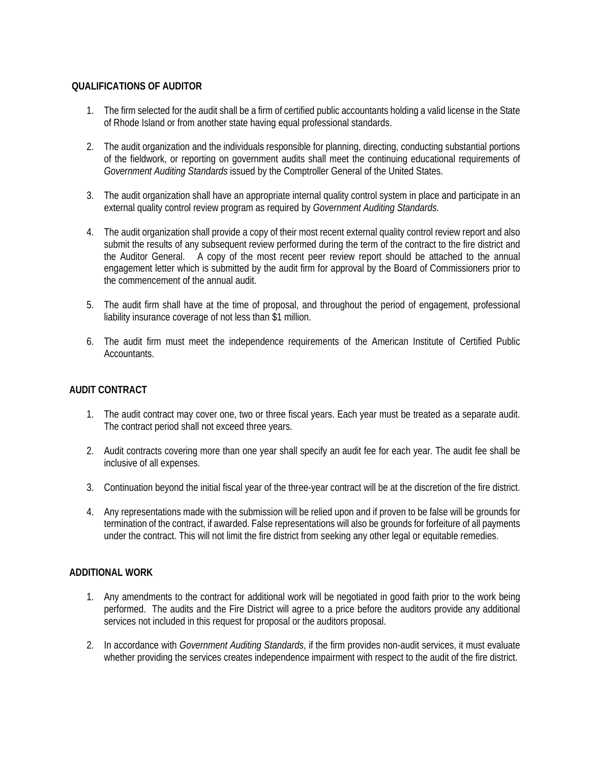# **QUALIFICATIONS OF AUDITOR**

- 1. The firm selected for the audit shall be a firm of certified public accountants holding a valid license in the State of Rhode Island or from another state having equal professional standards.
- 2. The audit organization and the individuals responsible for planning, directing, conducting substantial portions of the fieldwork, or reporting on government audits shall meet the continuing educational requirements of *Government Auditing Standards* issued by the Comptroller General of the United States.
- 3. The audit organization shall have an appropriate internal quality control system in place and participate in an external quality control review program as required by *Government Auditing Standards.*
- 4. The audit organization shall provide a copy of their most recent external quality control review report and also submit the results of any subsequent review performed during the term of the contract to the fire district and the Auditor General. A copy of the most recent peer review report should be attached to the annual engagement letter which is submitted by the audit firm for approval by the Board of Commissioners prior to the commencement of the annual audit.
- 5. The audit firm shall have at the time of proposal, and throughout the period of engagement, professional liability insurance coverage of not less than \$1 million.
- 6. The audit firm must meet the independence requirements of the American Institute of Certified Public Accountants.

# **AUDIT CONTRACT**

- 1. The audit contract may cover one, two or three fiscal years. Each year must be treated as a separate audit. The contract period shall not exceed three years.
- 2. Audit contracts covering more than one year shall specify an audit fee for each year. The audit fee shall be inclusive of all expenses.
- 3. Continuation beyond the initial fiscal year of the three-year contract will be at the discretion of the fire district.
- 4. Any representations made with the submission will be relied upon and if proven to be false will be grounds for termination of the contract, if awarded. False representations will also be grounds for forfeiture of all payments under the contract. This will not limit the fire district from seeking any other legal or equitable remedies.

# **ADDITIONAL WORK**

- 1. Any amendments to the contract for additional work will be negotiated in good faith prior to the work being performed. The audits and the Fire District will agree to a price before the auditors provide any additional services not included in this request for proposal or the auditors proposal.
- 2. In accordance with *Government Auditing Standards*, if the firm provides non-audit services, it must evaluate whether providing the services creates independence impairment with respect to the audit of the fire district.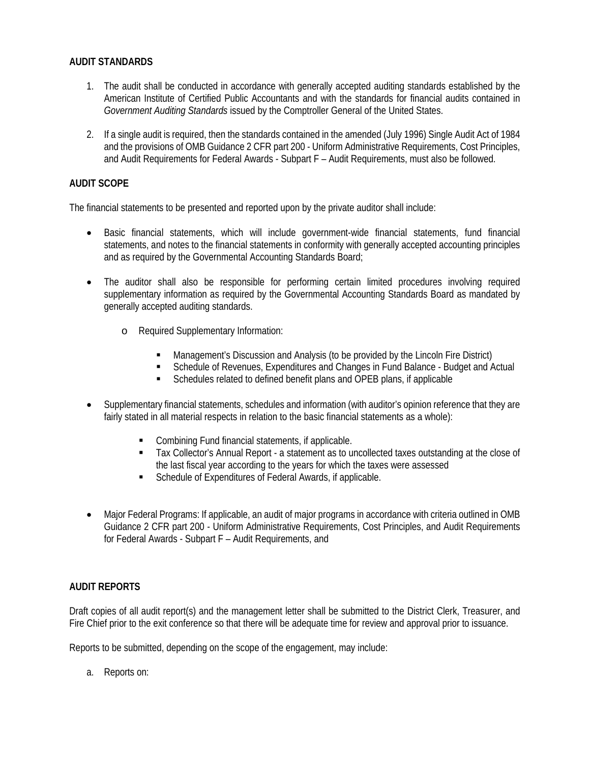# **AUDIT STANDARDS**

- 1. The audit shall be conducted in accordance with generally accepted auditing standards established by the American Institute of Certified Public Accountants and with the standards for financial audits contained in *Government Auditing Standards* issued by the Comptroller General of the United States.
- 2. If a single audit is required, then the standards contained in the amended (July 1996) Single Audit Act of 1984 and the provisions of OMB Guidance 2 CFR part 200 - Uniform Administrative Requirements, Cost Principles, and Audit Requirements for Federal Awards - Subpart F – Audit Requirements, must also be followed.

# **AUDIT SCOPE**

The financial statements to be presented and reported upon by the private auditor shall include:

- Basic financial statements, which will include government-wide financial statements, fund financial statements, and notes to the financial statements in conformity with generally accepted accounting principles and as required by the Governmental Accounting Standards Board;
- The auditor shall also be responsible for performing certain limited procedures involving required supplementary information as required by the Governmental Accounting Standards Board as mandated by generally accepted auditing standards.
	- o Required Supplementary Information:
		- Management's Discussion and Analysis (to be provided by the Lincoln Fire District)
		- Schedule of Revenues, Expenditures and Changes in Fund Balance Budget and Actual
		- Schedules related to defined benefit plans and OPEB plans, if applicable
- Supplementary financial statements, schedules and information (with auditor's opinion reference that they are fairly stated in all material respects in relation to the basic financial statements as a whole):
	- Combining Fund financial statements, if applicable.
	- Tax Collector's Annual Report a statement as to uncollected taxes outstanding at the close of the last fiscal year according to the years for which the taxes were assessed
	- Schedule of Expenditures of Federal Awards, if applicable.
- Major Federal Programs: If applicable, an audit of major programs in accordance with criteria outlined in OMB Guidance 2 CFR part 200 - Uniform Administrative Requirements, Cost Principles, and Audit Requirements for Federal Awards - Subpart F – Audit Requirements, and

### **AUDIT REPORTS**

Draft copies of all audit report(s) and the management letter shall be submitted to the District Clerk, Treasurer, and Fire Chief prior to the exit conference so that there will be adequate time for review and approval prior to issuance.

Reports to be submitted, depending on the scope of the engagement, may include:

a. Reports on: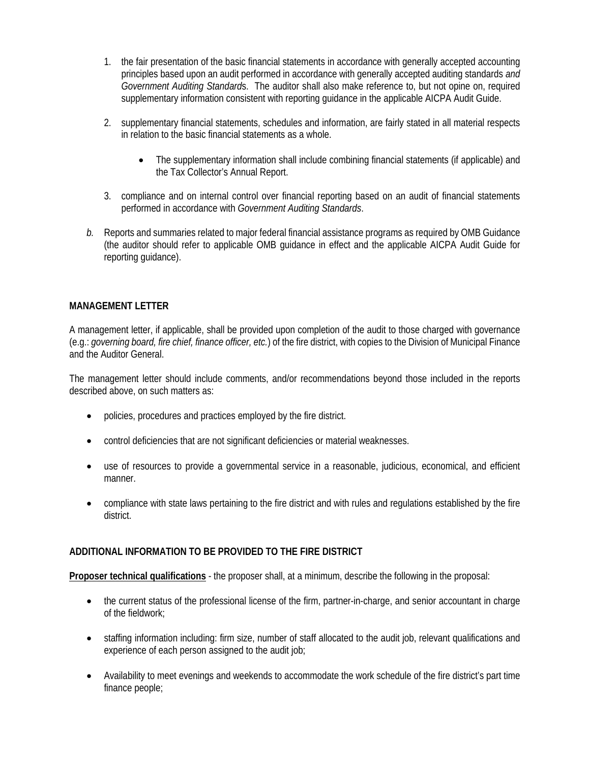- 1. the fair presentation of the basic financial statements in accordance with generally accepted accounting principles based upon an audit performed in accordance with generally accepted auditing standards *and Government Auditing Standard*s. The auditor shall also make reference to, but not opine on, required supplementary information consistent with reporting guidance in the applicable AICPA Audit Guide.
- 2. supplementary financial statements, schedules and information, are fairly stated in all material respects in relation to the basic financial statements as a whole.
	- The supplementary information shall include combining financial statements (if applicable) and the Tax Collector's Annual Report.
- 3. compliance and on internal control over financial reporting based on an audit of financial statements performed in accordance with *Government Auditing Standards*.
- *b.* Reports and summaries related to major federal financial assistance programs as required by OMB Guidance (the auditor should refer to applicable OMB guidance in effect and the applicable AICPA Audit Guide for reporting guidance).

# **MANAGEMENT LETTER**

A management letter, if applicable, shall be provided upon completion of the audit to those charged with governance (e.g.: *governing board, fire chief, finance officer, etc.*) of the fire district, with copies to the Division of Municipal Finance and the Auditor General.

The management letter should include comments, and/or recommendations beyond those included in the reports described above, on such matters as:

- policies, procedures and practices employed by the fire district.
- control deficiencies that are not significant deficiencies or material weaknesses.
- use of resources to provide a governmental service in a reasonable, judicious, economical, and efficient manner.
- compliance with state laws pertaining to the fire district and with rules and regulations established by the fire district.

### **ADDITIONAL INFORMATION TO BE PROVIDED TO THE FIRE DISTRICT**

**Proposer technical qualifications** - the proposer shall, at a minimum, describe the following in the proposal:

- the current status of the professional license of the firm, partner-in-charge, and senior accountant in charge of the fieldwork;
- staffing information including: firm size, number of staff allocated to the audit job, relevant qualifications and experience of each person assigned to the audit job;
- Availability to meet evenings and weekends to accommodate the work schedule of the fire district's part time finance people;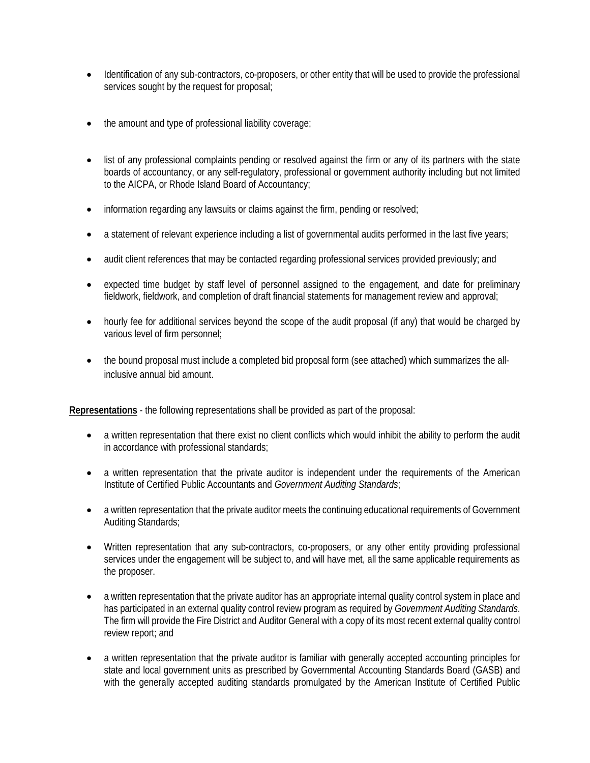- Identification of any sub-contractors, co-proposers, or other entity that will be used to provide the professional services sought by the request for proposal;
- the amount and type of professional liability coverage;
- list of any professional complaints pending or resolved against the firm or any of its partners with the state boards of accountancy, or any self-regulatory, professional or government authority including but not limited to the AICPA, or Rhode Island Board of Accountancy;
- information regarding any lawsuits or claims against the firm, pending or resolved;
- a statement of relevant experience including a list of governmental audits performed in the last five years;
- audit client references that may be contacted regarding professional services provided previously; and
- expected time budget by staff level of personnel assigned to the engagement, and date for preliminary fieldwork, fieldwork, and completion of draft financial statements for management review and approval;
- hourly fee for additional services beyond the scope of the audit proposal (if any) that would be charged by various level of firm personnel;
- the bound proposal must include a completed bid proposal form (see attached) which summarizes the allinclusive annual bid amount.

**Representations** - the following representations shall be provided as part of the proposal:

- a written representation that there exist no client conflicts which would inhibit the ability to perform the audit in accordance with professional standards;
- a written representation that the private auditor is independent under the requirements of the American Institute of Certified Public Accountants and *Government Auditing Standards*;
- a written representation that the private auditor meets the continuing educational requirements of Government Auditing Standards;
- Written representation that any sub-contractors, co-proposers, or any other entity providing professional services under the engagement will be subject to, and will have met, all the same applicable requirements as the proposer.
- a written representation that the private auditor has an appropriate internal quality control system in place and has participated in an external quality control review program as required by *Government Auditing Standards*. The firm will provide the Fire District and Auditor General with a copy of its most recent external quality control review report; and
- a written representation that the private auditor is familiar with generally accepted accounting principles for state and local government units as prescribed by Governmental Accounting Standards Board (GASB) and with the generally accepted auditing standards promulgated by the American Institute of Certified Public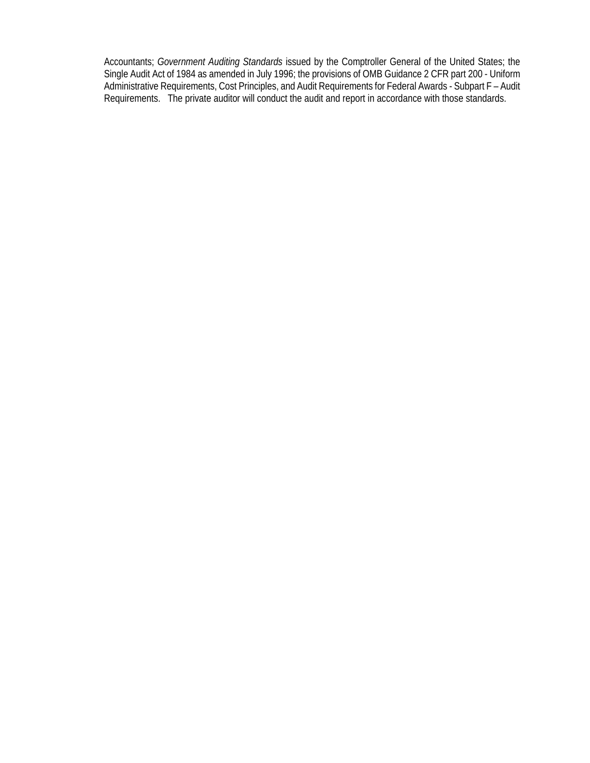Accountants; *Government Auditing Standards* issued by the Comptroller General of the United States; the Single Audit Act of 1984 as amended in July 1996; the provisions of OMB Guidance 2 CFR part 200 - Uniform Administrative Requirements, Cost Principles, and Audit Requirements for Federal Awards - Subpart F – Audit Requirements. The private auditor will conduct the audit and report in accordance with those standards.